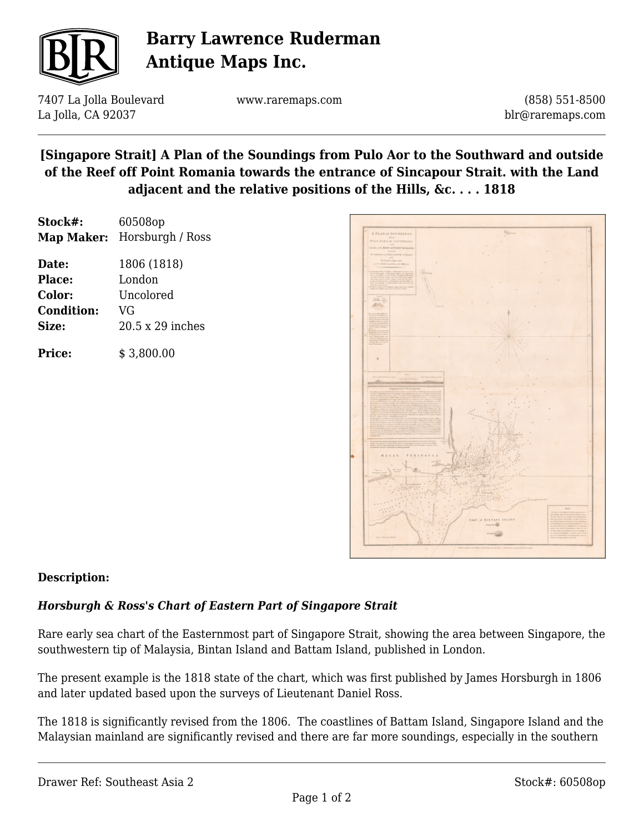

# **Barry Lawrence Ruderman Antique Maps Inc.**

7407 La Jolla Boulevard La Jolla, CA 92037

www.raremaps.com

(858) 551-8500 blr@raremaps.com

## **[Singapore Strait] A Plan of the Soundings from Pulo Aor to the Southward and outside of the Reef off Point Romania towards the entrance of Sincapour Strait. with the Land adjacent and the relative positions of the Hills, &c. . . . 1818**

| Stock#: | 60508op                     |
|---------|-----------------------------|
|         | Map Maker: Horsburgh / Ross |

| Date:             | 1806 (1818)      |
|-------------------|------------------|
| <b>Place:</b>     | London           |
| Color:            | Uncolored        |
| <b>Condition:</b> | VG               |
| Size:             | 20.5 x 29 inches |
|                   |                  |

**Price:**  $$3,800.00$ 



### **Description:**

### *Horsburgh & Ross's Chart of Eastern Part of Singapore Strait*

Rare early sea chart of the Easternmost part of Singapore Strait, showing the area between Singapore, the southwestern tip of Malaysia, Bintan Island and Battam Island, published in London.

The present example is the 1818 state of the chart, which was first published by James Horsburgh in 1806 and later updated based upon the surveys of Lieutenant Daniel Ross.

The 1818 is significantly revised from the 1806. The coastlines of Battam Island, Singapore Island and the Malaysian mainland are significantly revised and there are far more soundings, especially in the southern